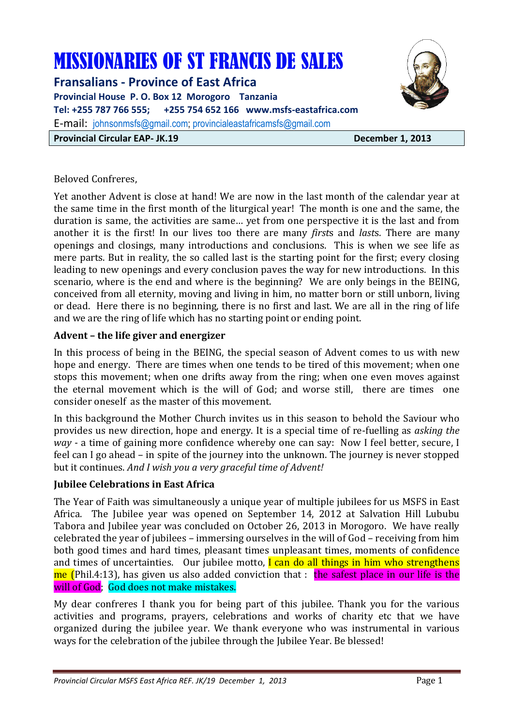# MISSIONARIES OF ST FRANCIS DE SALES

**Fransalians - Province of East Africa Provincial House P. O. Box 12 Morogoro Tanzania Tel: +255 787 766 555; +255 754 652 166 www.msfs-eastafrica.com**  E-mail: johnsonmsfs@gmail.com; provincialeastafricamsfs@gmail.com **Provincial Circular EAP- JK.19 December 1, 2013** 



#### Beloved Confreres,

Yet another Advent is close at hand! We are now in the last month of the calendar year at the same time in the first month of the liturgical year! The month is one and the same, the duration is same, the activities are same… yet from one perspective it is the last and from another it is the first! In our lives too there are many *first*s and *last*s. There are many openings and closings, many introductions and conclusions. This is when we see life as mere parts. But in reality, the so called last is the starting point for the first; every closing leading to new openings and every conclusion paves the way for new introductions. In this scenario, where is the end and where is the beginning? We are only beings in the BEING, conceived from all eternity, moving and living in him, no matter born or still unborn, living or dead. Here there is no beginning, there is no first and last. We are all in the ring of life and we are the ring of life which has no starting point or ending point.

#### **Advent – the life giver and energizer**

In this process of being in the BEING, the special season of Advent comes to us with new hope and energy. There are times when one tends to be tired of this movement; when one stops this movement; when one drifts away from the ring; when one even moves against the eternal movement which is the will of God; and worse still, there are times one consider oneself as the master of this movement.

In this background the Mother Church invites us in this season to behold the Saviour who provides us new direction, hope and energy. It is a special time of re-fuelling as *asking the way* - a time of gaining more confidence whereby one can say: Now I feel better, secure, I feel can I go ahead – in spite of the journey into the unknown. The journey is never stopped but it continues. *And I wish you a very graceful time of Advent!* 

#### **Jubilee Celebrations in East Africa**

The Year of Faith was simultaneously a unique year of multiple jubilees for us MSFS in East Africa. The Jubilee year was opened on September 14, 2012 at Salvation Hill Lububu Tabora and Jubilee year was concluded on October 26, 2013 in Morogoro. We have really celebrated the year of jubilees – immersing ourselves in the will of God – receiving from him both good times and hard times, pleasant times unpleasant times, moments of confidence and times of uncertainties. Our jubilee motto, I can do all things in him who strengthens me (Phil.4:13), has given us also added conviction that : the safest place in our life is the will of God; God does not make mistakes.

My dear confreres I thank you for being part of this jubilee. Thank you for the various activities and programs, prayers, celebrations and works of charity etc that we have organized during the jubilee year. We thank everyone who was instrumental in various ways for the celebration of the jubilee through the Jubilee Year. Be blessed!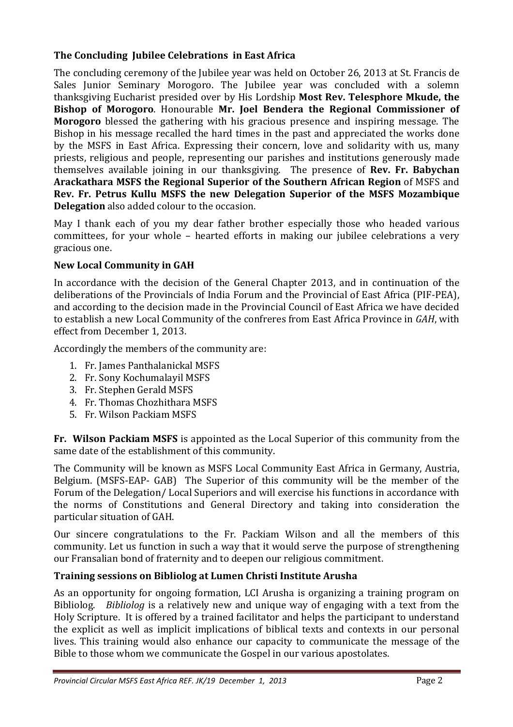## **The Concluding Jubilee Celebrations in East Africa**

The concluding ceremony of the Jubilee year was held on October 26, 2013 at St. Francis de Sales Junior Seminary Morogoro. The Jubilee year was concluded with a solemn thanksgiving Eucharist presided over by His Lordship **Most Rev. Telesphore Mkude, the Bishop of Morogoro**. Honourable **Mr. Joel Bendera the Regional Commissioner of Morogoro** blessed the gathering with his gracious presence and inspiring message. The Bishop in his message recalled the hard times in the past and appreciated the works done by the MSFS in East Africa. Expressing their concern, love and solidarity with us, many priests, religious and people, representing our parishes and institutions generously made themselves available joining in our thanksgiving. The presence of **Rev. Fr. Babychan Arackathara MSFS the Regional Superior of the Southern African Region** of MSFS and **Rev. Fr. Petrus Kullu MSFS the new Delegation Superior of the MSFS Mozambique Delegation** also added colour to the occasion.

May I thank each of you my dear father brother especially those who headed various committees, for your whole – hearted efforts in making our jubilee celebrations a very gracious one.

# **New Local Community in GAH**

In accordance with the decision of the General Chapter 2013, and in continuation of the deliberations of the Provincials of India Forum and the Provincial of East Africa (PIF-PEA), and according to the decision made in the Provincial Council of East Africa we have decided to establish a new Local Community of the confreres from East Africa Province in *GAH*, with effect from December 1, 2013.

Accordingly the members of the community are:

- 1. Fr. James Panthalanickal MSFS
- 2. Fr. Sony Kochumalayil MSFS
- 3. Fr. Stephen Gerald MSFS
- 4. Fr. Thomas Chozhithara MSFS
- 5. Fr. Wilson Packiam MSFS

**Fr. Wilson Packiam MSFS** is appointed as the Local Superior of this community from the same date of the establishment of this community.

The Community will be known as MSFS Local Community East Africa in Germany, Austria, Belgium. (MSFS-EAP- GAB) The Superior of this community will be the member of the Forum of the Delegation/ Local Superiors and will exercise his functions in accordance with the norms of Constitutions and General Directory and taking into consideration the particular situation of GAH.

Our sincere congratulations to the Fr. Packiam Wilson and all the members of this community. Let us function in such a way that it would serve the purpose of strengthening our Fransalian bond of fraternity and to deepen our religious commitment.

## **Training sessions on Bibliolog at Lumen Christi Institute Arusha**

As an opportunity for ongoing formation, LCI Arusha is organizing a training program on Bibliolog. *Bibliolog* is a relatively new and unique way of engaging with a text from the Holy Scripture. It is offered by a trained facilitator and helps the participant to understand the explicit as well as implicit implications of biblical texts and contexts in our personal lives. This training would also enhance our capacity to communicate the message of the Bible to those whom we communicate the Gospel in our various apostolates.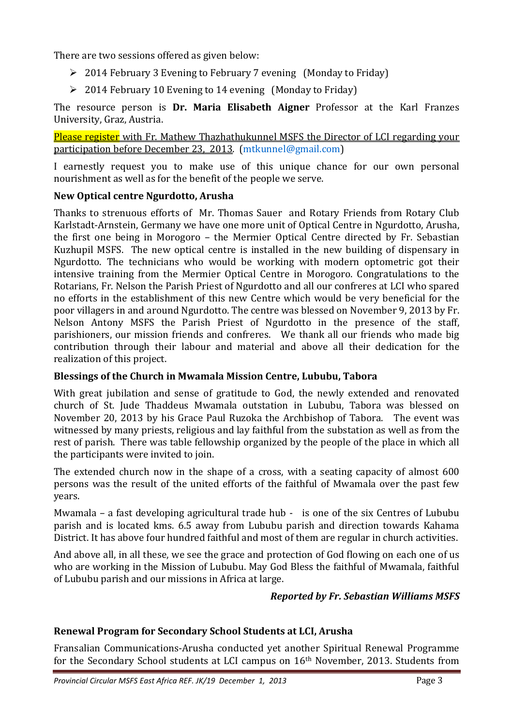There are two sessions offered as given below:

- 2014 February 3 Evening to February 7 evening (Monday to Friday)
- $\geq 2014$  February 10 Evening to 14 evening (Monday to Friday)

The resource person is **Dr. Maria Elisabeth Aigner** Professor at the Karl Franzes University, Graz, Austria.

Please register with Fr. Mathew Thazhathukunnel MSFS the Director of LCI regarding your participation before December 23, 2013. (mtkunnel@gmail.com)

I earnestly request you to make use of this unique chance for our own personal nourishment as well as for the benefit of the people we serve.

## **New Optical centre Ngurdotto, Arusha**

Thanks to strenuous efforts of Mr. Thomas Sauer and Rotary Friends from Rotary Club Karlstadt-Arnstein, Germany we have one more unit of Optical Centre in Ngurdotto, Arusha, the first one being in Morogoro – the Mermier Optical Centre directed by Fr. Sebastian Kuzhupil MSFS. The new optical centre is installed in the new building of dispensary in Ngurdotto. The technicians who would be working with modern optometric got their intensive training from the Mermier Optical Centre in Morogoro. Congratulations to the Rotarians, Fr. Nelson the Parish Priest of Ngurdotto and all our confreres at LCI who spared no efforts in the establishment of this new Centre which would be very beneficial for the poor villagers in and around Ngurdotto. The centre was blessed on November 9, 2013 by Fr. Nelson Antony MSFS the Parish Priest of Ngurdotto in the presence of the staff, parishioners, our mission friends and confreres. We thank all our friends who made big contribution through their labour and material and above all their dedication for the realization of this project.

## **Blessings of the Church in Mwamala Mission Centre, Lububu, Tabora**

With great jubilation and sense of gratitude to God, the newly extended and renovated church of St. Jude Thaddeus Mwamala outstation in Lububu, Tabora was blessed on November 20, 2013 by his Grace Paul Ruzoka the Archbishop of Tabora. The event was witnessed by many priests, religious and lay faithful from the substation as well as from the rest of parish. There was table fellowship organized by the people of the place in which all the participants were invited to join.

The extended church now in the shape of a cross, with a seating capacity of almost 600 persons was the result of the united efforts of the faithful of Mwamala over the past few years.

Mwamala – a fast developing agricultural trade hub - is one of the six Centres of Lububu parish and is located kms. 6.5 away from Lububu parish and direction towards Kahama District. It has above four hundred faithful and most of them are regular in church activities.

And above all, in all these, we see the grace and protection of God flowing on each one of us who are working in the Mission of Lububu. May God Bless the faithful of Mwamala, faithful of Lububu parish and our missions in Africa at large.

#### *Reported by Fr. Sebastian Williams MSFS*

## **Renewal Program for Secondary School Students at LCI, Arusha**

Fransalian Communications-Arusha conducted yet another Spiritual Renewal Programme for the Secondary School students at LCI campus on 16th November, 2013. Students from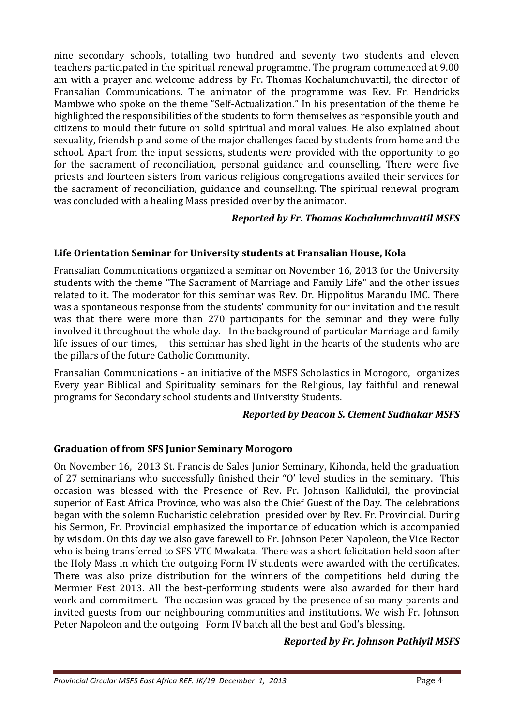nine secondary schools, totalling two hundred and seventy two students and eleven teachers participated in the spiritual renewal programme. The program commenced at 9.00 am with a prayer and welcome address by Fr. Thomas Kochalumchuvattil, the director of Fransalian Communications. The animator of the programme was Rev. Fr. Hendricks Mambwe who spoke on the theme "Self-Actualization." In his presentation of the theme he highlighted the responsibilities of the students to form themselves as responsible youth and citizens to mould their future on solid spiritual and moral values. He also explained about sexuality, friendship and some of the major challenges faced by students from home and the school. Apart from the input sessions, students were provided with the opportunity to go for the sacrament of reconciliation, personal guidance and counselling. There were five priests and fourteen sisters from various religious congregations availed their services for the sacrament of reconciliation, guidance and counselling. The spiritual renewal program was concluded with a healing Mass presided over by the animator.

## *Reported by Fr. Thomas Kochalumchuvattil MSFS*

# **Life Orientation Seminar for University students at Fransalian House, Kola**

Fransalian Communications organized a seminar on November 16, 2013 for the University students with the theme "The Sacrament of Marriage and Family Life" and the other issues related to it. The moderator for this seminar was Rev. Dr. Hippolitus Marandu IMC. There was a spontaneous response from the students' community for our invitation and the result was that there were more than 270 participants for the seminar and they were fully involved it throughout the whole day. In the background of particular Marriage and family life issues of our times, this seminar has shed light in the hearts of the students who are the pillars of the future Catholic Community.

Fransalian Communications - an initiative of the MSFS Scholastics in Morogoro, organizes Every year Biblical and Spirituality seminars for the Religious, lay faithful and renewal programs for Secondary school students and University Students.

## *Reported by Deacon S. Clement Sudhakar MSFS*

## **Graduation of from SFS Junior Seminary Morogoro**

On November 16, 2013 St. Francis de Sales Junior Seminary, Kihonda, held the graduation of 27 seminarians who successfully finished their "O' level studies in the seminary. This occasion was blessed with the Presence of Rev. Fr. Johnson Kallidukil, the provincial superior of East Africa Province, who was also the Chief Guest of the Day. The celebrations began with the solemn Eucharistic celebration presided over by Rev. Fr. Provincial. During his Sermon, Fr. Provincial emphasized the importance of education which is accompanied by wisdom. On this day we also gave farewell to Fr. Johnson Peter Napoleon, the Vice Rector who is being transferred to SFS VTC Mwakata. There was a short felicitation held soon after the Holy Mass in which the outgoing Form IV students were awarded with the certificates. There was also prize distribution for the winners of the competitions held during the Mermier Fest 2013. All the best-performing students were also awarded for their hard work and commitment. The occasion was graced by the presence of so many parents and invited guests from our neighbouring communities and institutions. We wish Fr. Johnson Peter Napoleon and the outgoing Form IV batch all the best and God's blessing.

## *Reported by Fr. Johnson Pathiyil MSFS*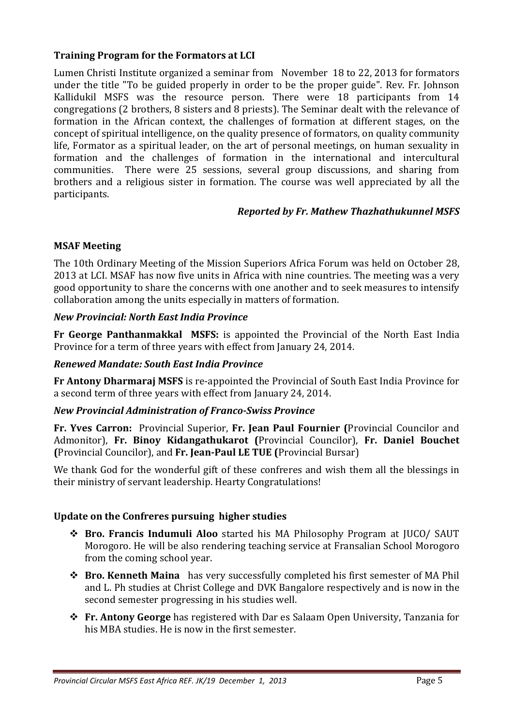#### **Training Program for the Formators at LCI**

Lumen Christi Institute organized a seminar from November 18 to 22, 2013 for formators under the title "To be guided properly in order to be the proper guide". Rev. Fr. Johnson Kallidukil MSFS was the resource person. There were 18 participants from 14 congregations (2 brothers, 8 sisters and 8 priests). The Seminar dealt with the relevance of formation in the African context, the challenges of formation at different stages, on the concept of spiritual intelligence, on the quality presence of formators, on quality community life, Formator as a spiritual leader, on the art of personal meetings, on human sexuality in formation and the challenges of formation in the international and intercultural communities. There were 25 sessions, several group discussions, and sharing from brothers and a religious sister in formation. The course was well appreciated by all the participants.

#### *Reported by Fr. Mathew Thazhathukunnel MSFS*

## **MSAF Meeting**

The 10th Ordinary Meeting of the Mission Superiors Africa Forum was held on October 28, 2013 at LCI. MSAF has now five units in Africa with nine countries. The meeting was a very good opportunity to share the concerns with one another and to seek measures to intensify collaboration among the units especially in matters of formation.

#### *New Provincial: North East India Province*

**Fr George Panthanmakkal MSFS:** is appointed the Provincial of the North East India Province for a term of three years with effect from January 24, 2014.

#### *Renewed Mandate: South East India Province*

**Fr Antony Dharmaraj MSFS** is re-appointed the Provincial of South East India Province for a second term of three years with effect from January 24, 2014.

## *New Provincial Administration of Franco-Swiss Province*

**Fr. Yves Carron:** Provincial Superior, **Fr. Jean Paul Fournier (**Provincial Councilor and Admonitor), **Fr. Binoy Kidangathukarot (**Provincial Councilor), **Fr. Daniel Bouchet (**Provincial Councilor), and **Fr. Jean-Paul LE TUE (**Provincial Bursar)

We thank God for the wonderful gift of these confreres and wish them all the blessings in their ministry of servant leadership. Hearty Congratulations!

## **Update on the Confreres pursuing higher studies**

- **Bro. Francis Indumuli Aloo** started his MA Philosophy Program at JUCO/ SAUT Morogoro. He will be also rendering teaching service at Fransalian School Morogoro from the coming school year.
- **Bro. Kenneth Maina** has very successfully completed his first semester of MA Phil and L. Ph studies at Christ College and DVK Bangalore respectively and is now in the second semester progressing in his studies well.
- **Fr. Antony George** has registered with Dar es Salaam Open University, Tanzania for his MBA studies. He is now in the first semester.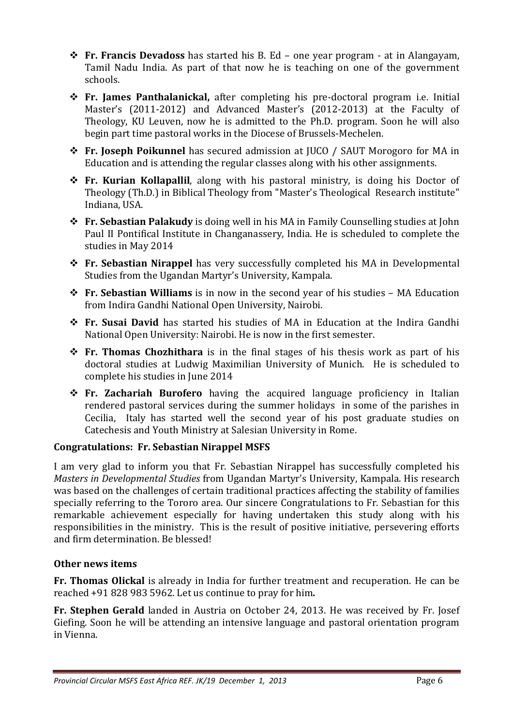- **Fr. Francis Devadoss** has started his B. Ed one year program at in Alangayam, Tamil Nadu India. As part of that now he is teaching on one of the government schools.
- **Fr. James Panthalanickal,** after completing his pre-doctoral program i.e. Initial Master's (2011-2012) and Advanced Master's (2012-2013) at the Faculty of Theology, KU Leuven, now he is admitted to the Ph.D. program. Soon he will also begin part time pastoral works in the Diocese of Brussels-Mechelen.
- **Fr. Joseph Poikunnel** has secured admission at JUCO / SAUT Morogoro for MA in Education and is attending the regular classes along with his other assignments.
- **Fr. Kurian Kollapallil**, along with his pastoral ministry, is doing his Doctor of Theology (Th.D.) in Biblical Theology from "Master's Theological Research institute" Indiana, USA.
- **Fr. Sebastian Palakudy** is doing well in his MA in Family Counselling studies at John Paul II Pontifical Institute in Changanassery, India. He is scheduled to complete the studies in May 2014
- **Fr. Sebastian Nirappel** has very successfully completed his MA in Developmental Studies from the Ugandan Martyr's University, Kampala.
- **Fr. Sebastian Williams** is in now in the second year of his studies MA Education from Indira Gandhi National Open University, Nairobi.
- **Fr. Susai David** has started his studies of MA in Education at the Indira Gandhi National Open University: Nairobi. He is now in the first semester.
- **Fr. Thomas Chozhithara** is in the final stages of his thesis work as part of his doctoral studies at Ludwig Maximilian University of Munich. He is scheduled to complete his studies in June 2014
- **Fr. Zachariah Burofero** having the acquired language proficiency in Italian rendered pastoral services during the summer holidays in some of the parishes in Cecilia, Italy has started well the second year of his post graduate studies on Catechesis and Youth Ministry at Salesian University in Rome.

# **Congratulations: Fr. Sebastian Nirappel MSFS**

I am very glad to inform you that Fr. Sebastian Nirappel has successfully completed his *Masters in Developmental Studies* from Ugandan Martyr's University, Kampala. His research was based on the challenges of certain traditional practices affecting the stability of families specially referring to the Tororo area. Our sincere Congratulations to Fr. Sebastian for this remarkable achievement especially for having undertaken this study along with his responsibilities in the ministry. This is the result of positive initiative, persevering efforts and firm determination. Be blessed!

## **Other news items**

**Fr. Thomas Olickal** is already in India for further treatment and recuperation. He can be reached +91 828 983 5962. Let us continue to pray for him*.* 

**Fr. Stephen Gerald** landed in Austria on October 24, 2013. He was received by Fr. Josef Giefing. Soon he will be attending an intensive language and pastoral orientation program in Vienna.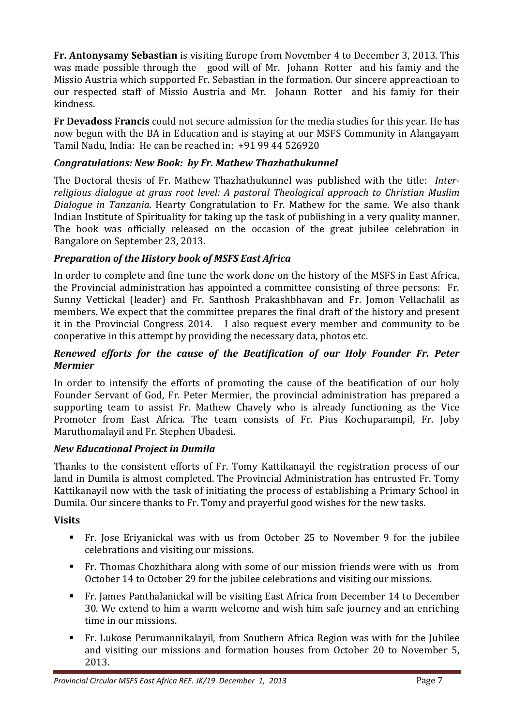**Fr. Antonysamy Sebastian** is visiting Europe from November 4 to December 3, 2013. This was made possible through the good will of Mr. Johann Rotter and his famiy and the Missio Austria which supported Fr. Sebastian in the formation. Our sincere appreactioan to our respected staff of Missio Austria and Mr. Johann Rotter and his famiy for their kindness.

**Fr Devadoss Francis** could not secure admission for the media studies for this year. He has now begun with the BA in Education and is staying at our MSFS Community in Alangayam Tamil Nadu, India: He can be reached in: +91 99 44 526920

## *Congratulations: New Book: by Fr. Mathew Thazhathukunnel*

The Doctoral thesis of Fr. Mathew Thazhathukunnel was published with the title: *Interreligious dialogue at grass root level: A pastoral Theological approach to Christian Muslim Dialogue in Tanzania.* Hearty Congratulation to Fr. Mathew for the same. We also thank Indian Institute of Spirituality for taking up the task of publishing in a very quality manner. The book was officially released on the occasion of the great jubilee celebration in Bangalore on September 23, 2013.

# *Preparation of the History book of MSFS East Africa*

In order to complete and fine tune the work done on the history of the MSFS in East Africa, the Provincial administration has appointed a committee consisting of three persons: Fr. Sunny Vettickal (leader) and Fr. Santhosh Prakashbhavan and Fr. Jomon Vellachalil as members. We expect that the committee prepares the final draft of the history and present it in the Provincial Congress 2014. I also request every member and community to be cooperative in this attempt by providing the necessary data, photos etc.

#### *Renewed efforts for the cause of the Beatification of our Holy Founder Fr. Peter Mermier*

In order to intensify the efforts of promoting the cause of the beatification of our holy Founder Servant of God, Fr. Peter Mermier, the provincial administration has prepared a supporting team to assist Fr. Mathew Chavely who is already functioning as the Vice Promoter from East Africa. The team consists of Fr. Pius Kochuparampil, Fr. Joby Maruthomalayil and Fr. Stephen Ubadesi.

## *New Educational Project in Dumila*

Thanks to the consistent efforts of Fr. Tomy Kattikanayil the registration process of our land in Dumila is almost completed. The Provincial Administration has entrusted Fr. Tomy Kattikanayil now with the task of initiating the process of establishing a Primary School in Dumila. Our sincere thanks to Fr. Tomy and prayerful good wishes for the new tasks.

## **Visits**

- Fr. Jose Eriyanickal was with us from October 25 to November 9 for the jubilee celebrations and visiting our missions.
- Fr. Thomas Chozhithara along with some of our mission friends were with us from October 14 to October 29 for the jubilee celebrations and visiting our missions.
- Fr. James Panthalanickal will be visiting East Africa from December 14 to December 30. We extend to him a warm welcome and wish him safe journey and an enriching time in our missions.
- Fr. Lukose Perumannikalayil, from Southern Africa Region was with for the Jubilee and visiting our missions and formation houses from October 20 to November 5, 2013.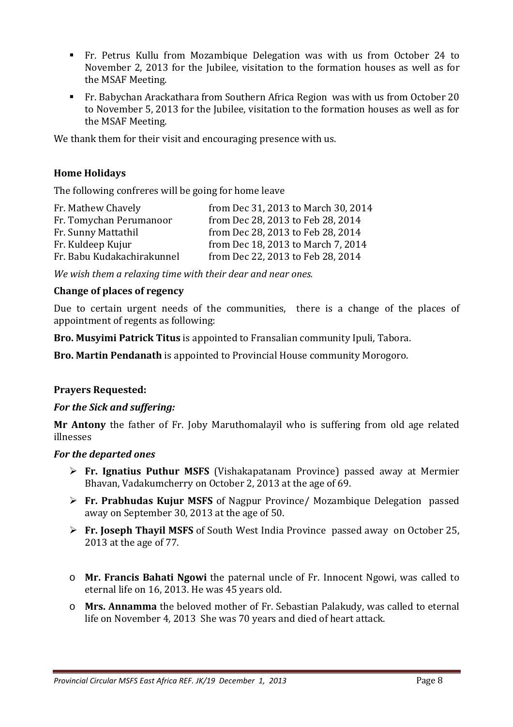- Fr. Petrus Kullu from Mozambique Delegation was with us from October 24 to November 2, 2013 for the Jubilee, visitation to the formation houses as well as for the MSAF Meeting.
- Fr. Babychan Arackathara from Southern Africa Region was with us from October 20 to November 5, 2013 for the Jubilee, visitation to the formation houses as well as for the MSAF Meeting.

We thank them for their visit and encouraging presence with us.

#### **Home Holidays**

The following confreres will be going for home leave

| Fr. Mathew Chavely         | from Dec 31, 2013 to March 30, 2014 |
|----------------------------|-------------------------------------|
| Fr. Tomychan Perumanoor    | from Dec 28, 2013 to Feb 28, 2014   |
| Fr. Sunny Mattathil        | from Dec 28, 2013 to Feb 28, 2014   |
| Fr. Kuldeep Kujur          | from Dec 18, 2013 to March 7, 2014  |
| Fr. Babu Kudakachirakunnel | from Dec 22, 2013 to Feb 28, 2014   |

*We wish them a relaxing time with their dear and near ones.* 

#### **Change of places of regency**

Due to certain urgent needs of the communities, there is a change of the places of appointment of regents as following:

**Bro. Musyimi Patrick Titus** is appointed to Fransalian community Ipuli, Tabora.

**Bro. Martin Pendanath** is appointed to Provincial House community Morogoro.

#### **Prayers Requested:**

#### *For the Sick and suffering:*

**Mr Antony** the father of Fr. Joby Maruthomalayil who is suffering from old age related illnesses

#### *For the departed ones*

- **Fr. Ignatius Puthur MSFS** (Vishakapatanam Province) passed away at Mermier Bhavan, Vadakumcherry on October 2, 2013 at the age of 69.
- **Fr. Prabhudas Kujur MSFS** of Nagpur Province/ Mozambique Delegation passed away on September 30, 2013 at the age of 50.
- **Fr. Joseph Thayil MSFS** of South West India Province passed away on October 25, 2013 at the age of 77.
- o **Mr. Francis Bahati Ngowi** the paternal uncle of Fr. Innocent Ngowi, was called to eternal life on 16, 2013. He was 45 years old.
- o **Mrs. Annamma** the beloved mother of Fr. Sebastian Palakudy, was called to eternal life on November 4, 2013 She was 70 years and died of heart attack.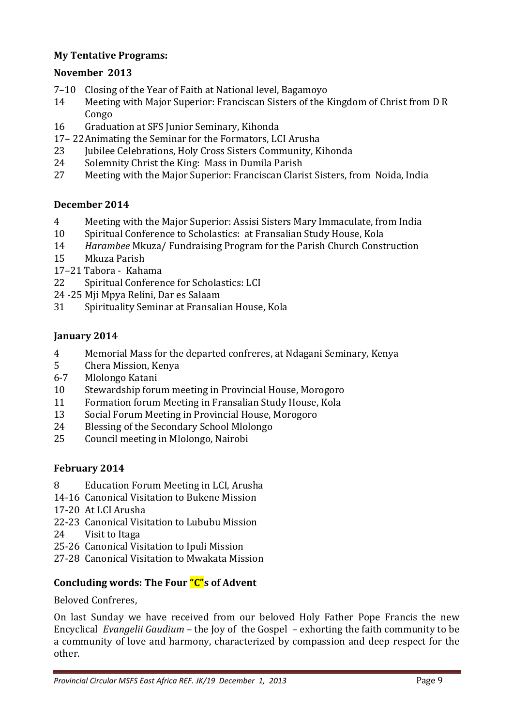## **My Tentative Programs:**

#### **November 2013**

- 7–10 Closing of the Year of Faith at National level, Bagamoyo
- 14 Meeting with Major Superior: Franciscan Sisters of the Kingdom of Christ from D R Congo
- 16 Graduation at SFS Junior Seminary, Kihonda
- 17– 22 Animating the Seminar for the Formators, LCI Arusha
- 23 Jubilee Celebrations, Holy Cross Sisters Community, Kihonda
- 24 Solemnity Christ the King: Mass in Dumila Parish
- 27 Meeting with the Major Superior: Franciscan Clarist Sisters, from Noida, India

#### **December 2014**

- 4 Meeting with the Major Superior: Assisi Sisters Mary Immaculate, from India
- 10 Spiritual Conference to Scholastics: at Fransalian Study House, Kola
- 14 *Harambee* Mkuza/ Fundraising Program for the Parish Church Construction
- 15 Mkuza Parish
- 17–21 Tabora Kahama
- 22 Spiritual Conference for Scholastics: LCI
- 24 -25 Mji Mpya Relini, Dar es Salaam
- 31 Spirituality Seminar at Fransalian House, Kola

#### **January 2014**

- 4 Memorial Mass for the departed confreres, at Ndagani Seminary, Kenya
- 5 Chera Mission, Kenya
- 6-7 Mlolongo Katani
- 10 Stewardship forum meeting in Provincial House, Morogoro
- 11 Formation forum Meeting in Fransalian Study House, Kola
- 13 Social Forum Meeting in Provincial House, Morogoro
- 24 Blessing of the Secondary School Mlolongo
- 25 Council meeting in Mlolongo, Nairobi

## **February 2014**

- 8 Education Forum Meeting in LCI, Arusha
- 14-16 Canonical Visitation to Bukene Mission
- 17-20 At LCI Arusha
- 22-23 Canonical Visitation to Lububu Mission
- 24 Visit to Itaga
- 25-26 Canonical Visitation to Ipuli Mission
- 27-28 Canonical Visitation to Mwakata Mission

## **Concluding words: The Four "C"s of Advent**

Beloved Confreres,

On last Sunday we have received from our beloved Holy Father Pope Francis the new Encyclical *Evangelii Gaudium* – the Joy of the Gospel – exhorting the faith community to be a community of love and harmony, characterized by compassion and deep respect for the other.